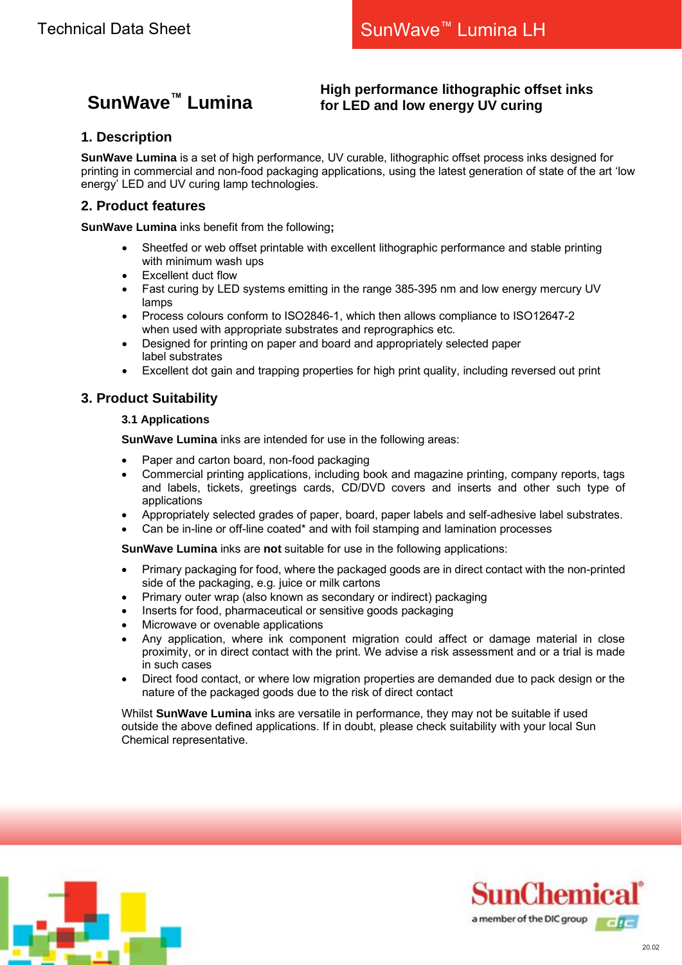# **SunWave™ Lumina**

# **High performance lithographic offset inks for LED and low energy UV curing**

# **1. Description**

**SunWave Lumina** is a set of high performance, UV curable, lithographic offset process inks designed for printing in commercial and non-food packaging applications, using the latest generation of state of the art 'low energy' LED and UV curing lamp technologies.

# **2. Product features**

**SunWave Lumina** inks benefit from the following**;**

- Sheetfed or web offset printable with excellent lithographic performance and stable printing with minimum wash ups
- Excellent duct flow
- Fast curing by LED systems emitting in the range 385-395 nm and low energy mercury UV lamps
- Process colours conform to ISO2846-1, which then allows compliance to ISO12647-2 when used with appropriate substrates and reprographics etc.
- Designed for printing on paper and board and appropriately selected paper label substrates
- Excellent dot gain and trapping properties for high print quality, including reversed out print

# **3. Product Suitability**

#### **3.1 Applications**

**SunWave Lumina** inks are intended for use in the following areas:

- Paper and carton board, non-food packaging
- Commercial printing applications, including book and magazine printing, company reports, tags and labels, tickets, greetings cards, CD/DVD covers and inserts and other such type of applications
- Appropriately selected grades of paper, board, paper labels and self-adhesive label substrates.
- Can be in-line or off-line coated\* and with foil stamping and lamination processes

**SunWave Lumina** inks are **not** suitable for use in the following applications:

- Primary packaging for food, where the packaged goods are in direct contact with the non-printed side of the packaging, e.g. juice or milk cartons
- Primary outer wrap (also known as secondary or indirect) packaging
- Inserts for food, pharmaceutical or sensitive goods packaging
- Microwave or ovenable applications
- Any application, where ink component migration could affect or damage material in close proximity, or in direct contact with the print. We advise a risk assessment and or a trial is made in such cases
- Direct food contact, or where low migration properties are demanded due to pack design or the nature of the packaged goods due to the risk of direct contact

Whilst **SunWave Lumina** inks are versatile in performance, they may not be suitable if used outside the above defined applications. If in doubt, please check suitability with your local Sun Chemical representative.



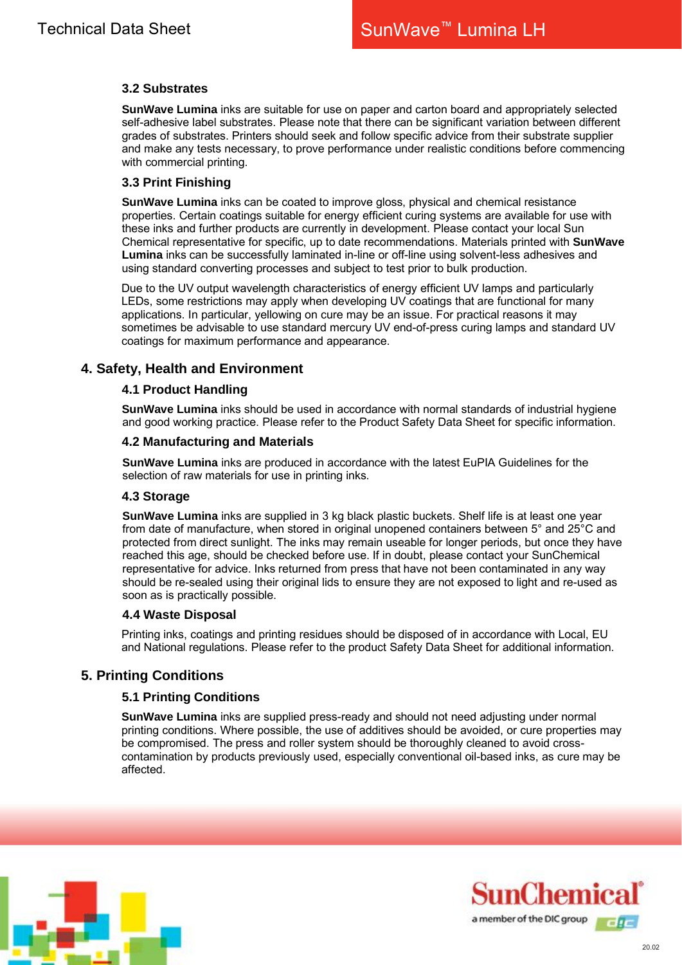## **3.2 Substrates**

**SunWave Lumina** inks are suitable for use on paper and carton board and appropriately selected self-adhesive label substrates. Please note that there can be significant variation between different grades of substrates. Printers should seek and follow specific advice from their substrate supplier and make any tests necessary, to prove performance under realistic conditions before commencing with commercial printing.

#### **3.3 Print Finishing**

**SunWave Lumina** inks can be coated to improve gloss, physical and chemical resistance properties. Certain coatings suitable for energy efficient curing systems are available for use with these inks and further products are currently in development. Please contact your local Sun Chemical representative for specific, up to date recommendations. Materials printed with **SunWave Lumina** inks can be successfully laminated in-line or off-line using solvent-less adhesives and using standard converting processes and subject to test prior to bulk production.

Due to the UV output wavelength characteristics of energy efficient UV lamps and particularly LEDs, some restrictions may apply when developing UV coatings that are functional for many applications. In particular, yellowing on cure may be an issue. For practical reasons it may sometimes be advisable to use standard mercury UV end-of-press curing lamps and standard UV coatings for maximum performance and appearance.

# **4. Safety, Health and Environment**

#### **4.1 Product Handling**

**SunWave Lumina** inks should be used in accordance with normal standards of industrial hygiene and good working practice. Please refer to the Product Safety Data Sheet for specific information.

#### **4.2 Manufacturing and Materials**

**SunWave Lumina** inks are produced in accordance with the latest EuPIA Guidelines for the selection of raw materials for use in printing inks.

#### **4.3 Storage**

**SunWave Lumina** inks are supplied in 3 kg black plastic buckets. Shelf life is at least one year from date of manufacture, when stored in original unopened containers between 5° and 25°C and protected from direct sunlight. The inks may remain useable for longer periods, but once they have reached this age, should be checked before use. If in doubt, please contact your SunChemical representative for advice. Inks returned from press that have not been contaminated in any way should be re-sealed using their original lids to ensure they are not exposed to light and re-used as soon as is practically possible.

#### **4.4 Waste Disposal**

Printing inks, coatings and printing residues should be disposed of in accordance with Local, EU and National regulations. Please refer to the product Safety Data Sheet for additional information.

## **5. Printing Conditions**

#### **5.1 Printing Conditions**

**SunWave Lumina** inks are supplied press-ready and should not need adjusting under normal printing conditions. Where possible, the use of additives should be avoided, or cure properties may be compromised. The press and roller system should be thoroughly cleaned to avoid crosscontamination by products previously used, especially conventional oil-based inks, as cure may be affected.



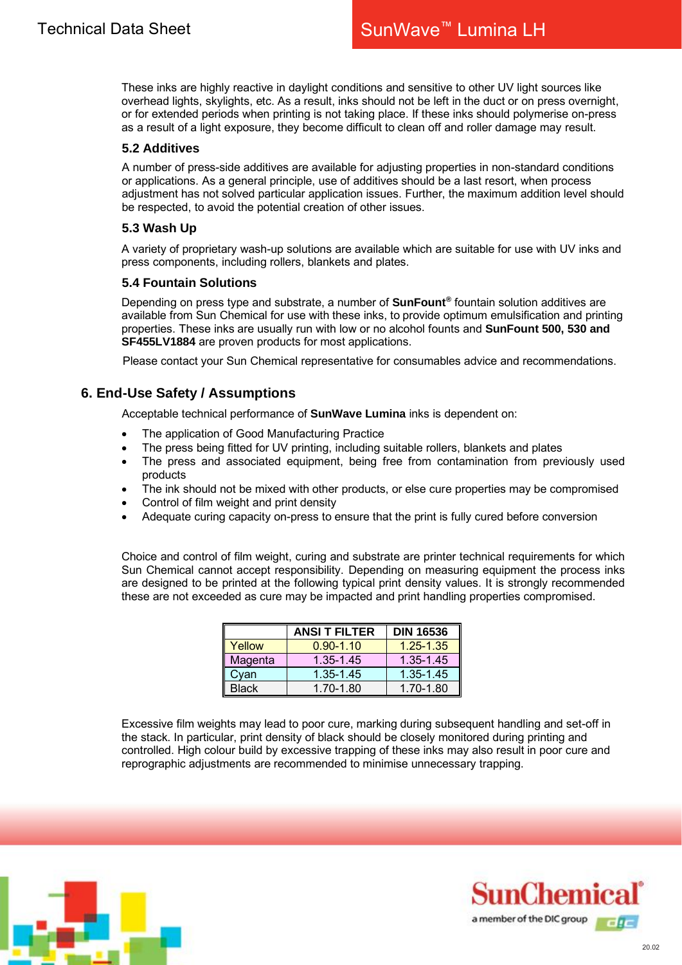These inks are highly reactive in daylight conditions and sensitive to other UV light sources like overhead lights, skylights, etc. As a result, inks should not be left in the duct or on press overnight, or for extended periods when printing is not taking place. If these inks should polymerise on-press as a result of a light exposure, they become difficult to clean off and roller damage may result.

#### **5.2 Additives**

A number of press-side additives are available for adjusting properties in non-standard conditions or applications. As a general principle, use of additives should be a last resort, when process adjustment has not solved particular application issues. Further, the maximum addition level should be respected, to avoid the potential creation of other issues.

#### **5.3 Wash Up**

A variety of proprietary wash-up solutions are available which are suitable for use with UV inks and press components, including rollers, blankets and plates.

#### **5.4 Fountain Solutions**

Depending on press type and substrate, a number of **SunFount®** fountain solution additives are available from Sun Chemical for use with these inks, to provide optimum emulsification and printing properties. These inks are usually run with low or no alcohol founts and **SunFount 500, 530 and SF455LV1884** are proven products for most applications.

Please contact your Sun Chemical representative for consumables advice and recommendations.

# **6. End-Use Safety / Assumptions**

Acceptable technical performance of **SunWave Lumina** inks is dependent on:

- The application of Good Manufacturing Practice
- The press being fitted for UV printing, including suitable rollers, blankets and plates
- The press and associated equipment, being free from contamination from previously used products
- The ink should not be mixed with other products, or else cure properties may be compromised
- Control of film weight and print density
- Adequate curing capacity on-press to ensure that the print is fully cured before conversion

Choice and control of film weight, curing and substrate are printer technical requirements for which Sun Chemical cannot accept responsibility. Depending on measuring equipment the process inks are designed to be printed at the following typical print density values. It is strongly recommended these are not exceeded as cure may be impacted and print handling properties compromised.

|              | <b>ANSI T FILTER</b> | <b>DIN 16536</b> |  |  |
|--------------|----------------------|------------------|--|--|
| Yellow       | $0.90 - 1.10$        | $1.25 - 1.35$    |  |  |
| Magenta      | 1.35-1.45            | 1.35-1.45        |  |  |
| Cyan         | 1.35-1.45            | 1.35-1.45        |  |  |
| <b>Black</b> | 1.70-1.80            | 1.70-1.80        |  |  |

Excessive film weights may lead to poor cure, marking during subsequent handling and set-off in the stack. In particular, print density of black should be closely monitored during printing and controlled. High colour build by excessive trapping of these inks may also result in poor cure and reprographic adjustments are recommended to minimise unnecessary trapping.